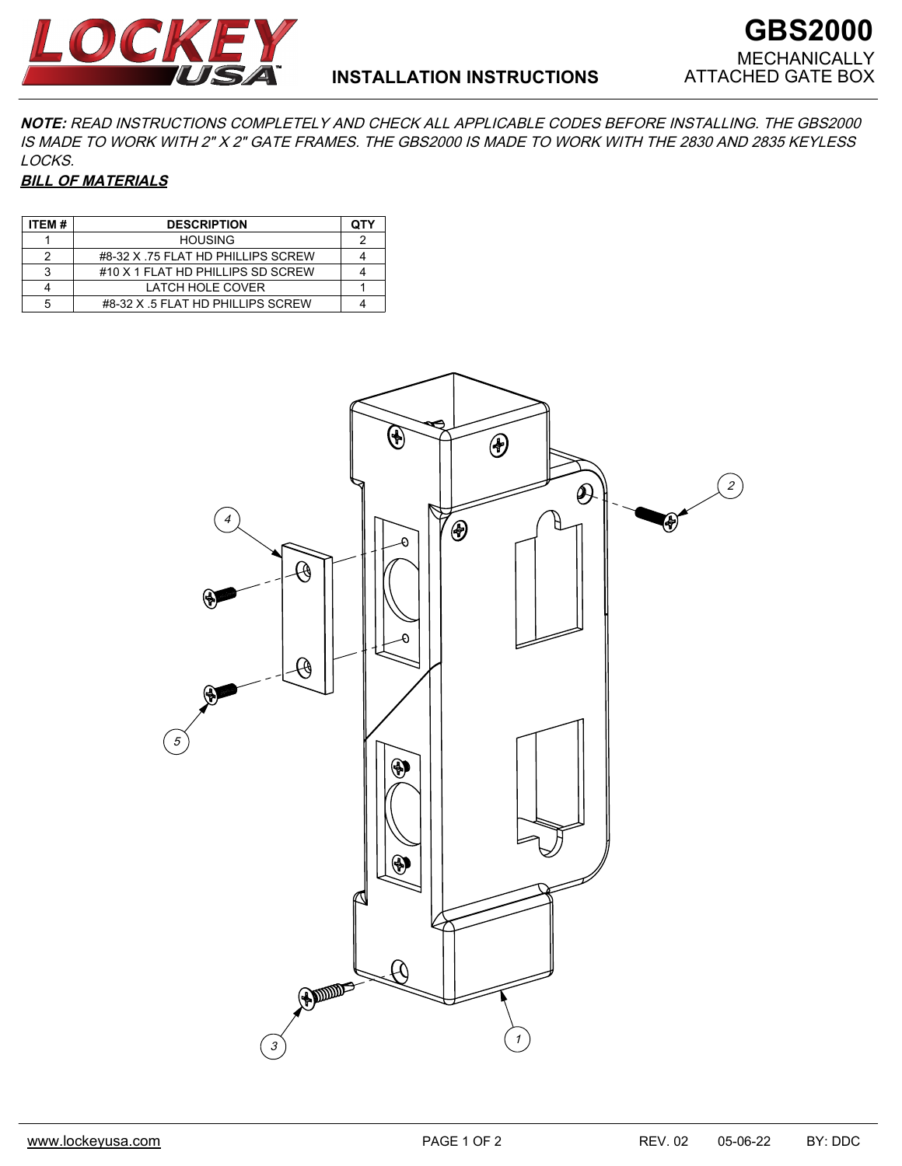



**NOTE:** READ INSTRUCTIONS COMPLETELY AND CHECK ALL APPLICABLE CODES BEFORE INSTALLING. THE GBS2000 IS MADE TO WORK WITH 2" X 2" GATE FRAMES. THE GBS2000 IS MADE TO WORK WITH THE 2830 AND 2835 KEYLESS LOCKS.

## **BILL OF MATERIALS**

| ITEM# | <b>DESCRIPTION</b>                | ОТҮ |
|-------|-----------------------------------|-----|
|       | <b>HOUSING</b>                    |     |
| 2     | #8-32 X 75 FLAT HD PHILLIPS SCREW |     |
| 3     | #10 X 1 FLAT HD PHILLIPS SD SCREW |     |
|       | LATCH HOLE COVER                  |     |
| 5     | #8-32 X .5 FLAT HD PHILLIPS SCREW |     |